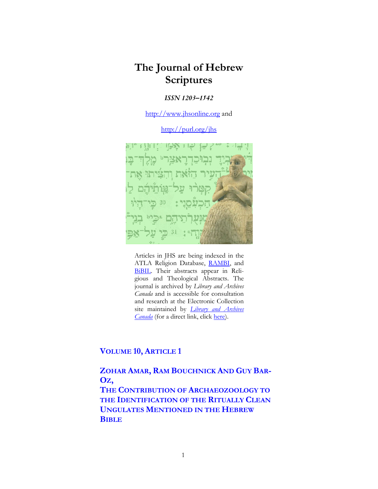# **The Journal of Hebrew Scriptures**

## *ISSN 1203–1542*

[http://www.jhsonline.org](http://www.jhsonline.org/) and

<http://purl.org/jhs>



Articles in JHS are being indexed in the ATLA Religion Database, [RAMBI,](http://jnul.huji.ac.il/rambi/) and [BiBIL.](https://wwwdbunil.unil.ch/bibil/bi/en/bibilhome.html) Their abstracts appear in Religious and Theological Abstracts. The journal is archived by *Library and Archives Canada* and is accessible for consultation and research at the Electronic Collection site maintained by *[Library and Archives](http://collectionscanada.ca/electroniccollection/003008-200-e.html)  [Canada](http://collectionscanada.ca/electroniccollection/003008-200-e.html)* (for a direct link, click [here\)](http://epe.lac-bac.gc.ca/100/201/300/journal_hebrew/index.html).

# **VOLUME 10, ARTICLE 1**

**ZOHAR AMAR, RAM BOUCHNICK AND GUY BAR-OZ,**

**THE CONTRIBUTION OF ARCHAEOZOOLOGY TO THE IDENTIFICATION OF THE RITUALLY CLEAN UNGULATES MENTIONED IN THE HEBREW BIBLE**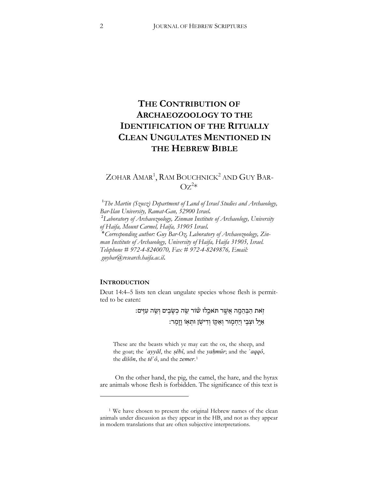# **THE CONTRIBUTION OF ARCHAEOZOOLOGY TO THE IDENTIFICATION OF THE RITUALLY CLEAN UNGULATES MENTIONED IN THE HEBREW BIBLE**

# ZOHAR AMAR<sup>1</sup>, RAM BOUCHNICK<sup>2</sup> AND GUY BAR- $OZ^{2*}$

1 *The Martin (Szusz) Department of Land of Israel Studies and Archaeology, Bar-Ilan University, Ramat-Gan, 52900 Israel*. <sup>2</sup> *Laboratory of Archaeozoology, Zinman Institute of Archaeology, University of Haifa, Mount Carmel, Haifa, 31905 Israel*. \**Corresponding author: Guy Bar-Oz, Laboratory of Archaeozoology, Zinman Institute of Archaeology, University of Haifa, Haifa 31905, Israel. Telephone # 972-4-8240070, Fax # 972-4-8249876, Email: guybar@research.haifa.ac.il*.

### **INTRODUCTION**

 $\overline{a}$ 

Deut 14:4–5 lists ten clean ungulate species whose flesh is permitted to be eaten:

> זְאת הַבְּהֵמֶה אֲשֱר תִּאֹבֵלוּ שׁוֹר שֵׂה כְשַׂבֵים וְשֵׂה עִזִּּים: ּאַיְּל וּצְבִי וְיַחְמְוּר וְאַקְוֹ וְדִישְׂן וּתְאָוֹ וְזֶמֶר:

These are the beasts which ye may eat: the ox, the sheep, and the goat; the *ʾayyāl*, the *ṣěbî*, and the *yaḥmûr*; and the *ʾaqqô*, the *dišōn*, the *těʾô*, and the *zemer*.[1](#page-1-0)

On the other hand, the pig, the camel, the hare, and the hyrax are animals whose flesh is forbidden. The significance of this text is

<span id="page-1-0"></span><sup>&</sup>lt;sup>1</sup> We have chosen to present the original Hebrew names of the clean animals under discussion as they appear in the HB, and not as they appear in modern translations that are often subjective interpretations.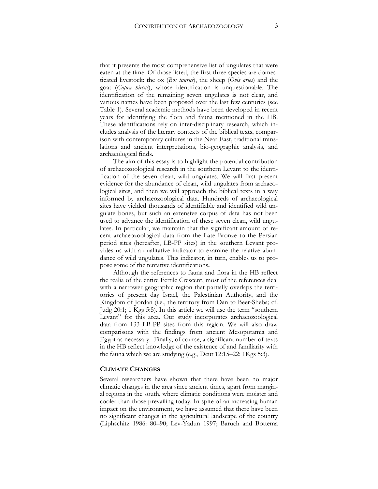that it presents the most comprehensive list of ungulates that were eaten at the time. Of those listed, the first three species are domesticated livestock: the ox (*Bos taurus*), the sheep (*Ovis aries*) and the goat (*Capra hircus*), whose identification is unquestionable. The identification of the remaining seven ungulates is not clear, and various names have been proposed over the last few centuries (see Table 1). Several academic methods have been developed in recent years for identifying the flora and fauna mentioned in the HB. These identifications rely on inter-disciplinary research, which includes analysis of the literary contexts of the biblical texts, comparison with contemporary cultures in the Near East, traditional translations and ancient interpretations, bio-geographic analysis, and archaeological finds.

The aim of this essay is to highlight the potential contribution of archaeozoological research in the southern Levant to the identification of the seven clean, wild ungulates. We will first present evidence for the abundance of clean, wild ungulates from archaeological sites, and then we will approach the biblical texts in a way informed by archaeozoological data. Hundreds of archaeological sites have yielded thousands of identifiable and identified wild ungulate bones, but such an extensive corpus of data has not been used to advance the identification of these seven clean, wild ungulates. In particular, we maintain that the significant amount of recent archaeozoological data from the Late Bronze to the Persian period sites (hereafter, LB-PP sites) in the southern Levant provides us with a qualitative indicator to examine the relative abundance of wild ungulates. This indicator, in turn, enables us to propose some of the tentative identifications.

Although the references to fauna and flora in the HB reflect the realia of the entire Fertile Crescent, most of the references deal with a narrower geographic region that partially overlaps the territories of present day Israel, the Palestinian Authority, and the Kingdom of Jordan (i.e., the territory from Dan to Beer-Sheba; cf. Judg 20:1; 1 Kgs 5:5). In this article we will use the term "southern Levant" for this area. Our study incorporates archaeozoological data from 133 LB-PP sites from this region. We will also draw comparisons with the findings from ancient Mesopotamia and Egypt as necessary. Finally, of course, a significant number of texts in the HB reflect knowledge of the existence of and familiarity with the fauna which we are studying (e.g., Deut 12:15–22; 1Kgs 5:3).

#### **CLIMATE CHANGES**

Several researchers have shown that there have been no major climatic changes in the area since ancient times, apart from marginal regions in the south, where climatic conditions were moister and cooler than those prevailing today. In spite of an increasing human impact on the environment, we have assumed that there have been no significant changes in the agricultural landscape of the country (Liphschitz 1986: 80–90; Lev-Yadun 1997; Baruch and Bottema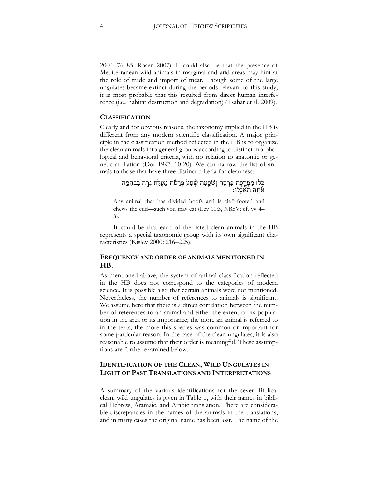2000: 76–85; Rosen 2007). It could also be that the presence of Mediterranean wild animals in marginal and arid areas may hint at the role of trade and import of meat. Though some of the large ungulates became extinct during the periods relevant to this study, it is most probable that this resulted from direct human interference (i.e., habitat destruction and degradation) (Tsahar et al. 2009).

#### **CLASSIFICATION**

Clearly and for obvious reasons, the taxonomy implied in the HB is different from any modern scientific classification. A major principle in the classification method reflected in the HB is to organize the clean animals into general groups according to distinct morphological and behavioral criteria, with no relation to anatomic or genetic affiliation (Dor 1997: 10-20). We can narrow the list of animals to those that have three distinct criteria for cleanness:

## כְּלו מַפְרֶסֶת פַּרְסָה וְשֹׁסֵעַת שֶׁסַע פְּרְסֹת מַעֲלֵת גֵּרֶה בַּבְּהֵמֶה אֹתהּ תּאכלוּ:

Any animal that has divided hoofs and is cleft-footed and chews the cud—such you may eat (Lev 11:3, NRSV; cf. vv 4– 8).

It could be that each of the listed clean animals in the HB represents a special taxonomic group with its own significant characteristics (Kislev 2000: 216–225).

## **FREQUENCY AND ORDER OF ANIMALS MENTIONED IN HB.**

As mentioned above, the system of animal classification reflected in the HB does not correspond to the categories of modern science. It is possible also that certain animals were not mentioned. Nevertheless, the number of references to animals is significant. We assume here that there is a direct correlation between the number of references to an animal and either the extent of its population in the area or its importance; the more an animal is referred to in the texts, the more this species was common or important for some particular reason. In the case of the clean ungulates, it is also reasonable to assume that their order is meaningful. These assumptions are further examined below.

## **IDENTIFICATION OF THE CLEAN, WILD UNGULATES IN LIGHT OF PAST TRANSLATIONS AND INTERPRETATIONS**

A summary of the various identifications for the seven Biblical clean, wild ungulates is given in Table 1, with their names in biblical Hebrew, Aramaic, and Arabic translation. There are considerable discrepancies in the names of the animals in the translations, and in many cases the original name has been lost. The name of the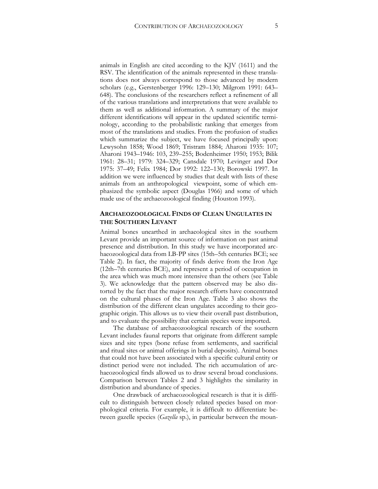animals in English are cited according to the KJV (1611) and the RSV. The identification of the animals represented in these translations does not always correspond to those advanced by modern scholars (e.g., Gerstenberger 1996: 129–130; Milgrom 1991: 643– 648). The conclusions of the researchers reflect a refinement of all of the various translations and interpretations that were available to them as well as additional information. A summary of the major different identifications will appear in the updated scientific terminology, according to the probabilistic ranking that emerges from most of the translations and studies. From the profusion of studies which summarize the subject, we have focused principally upon: Lewysohn 1858; Wood 1869; Tristram 1884; Aharoni 1935: 107; Aharoni 1943–1946: 103, 239–255; Bodenheimer 1950; 1953; Bilik 1961: 28–31; 1979: 324–329; Cansdale 1970; Levinger and Dor 1975: 37–49; Felix 1984; Dor 1992: 122–130; Borowski 1997. In addition we were influenced by studies that dealt with lists of these animals from an anthropological viewpoint, some of which emphasized the symbolic aspect (Douglas 1966) and some of which made use of the archaeozoological finding (Houston 1993).

## **ARCHAEOZOOLOGICAL FINDS OF CLEAN UNGULATES IN THE SOUTHERN LEVANT**

Animal bones unearthed in archaeological sites in the southern Levant provide an important source of information on past animal presence and distribution. In this study we have incorporated archaeozoological data from LB-PP sites (15th–5th centuries BCE; see Table 2). In fact, the majority of finds derive from the Iron Age (12th–7th centuries BCE), and represent a period of occupation in the area which was much more intensive than the others (see Table 3). We acknowledge that the pattern observed may be also distorted by the fact that the major research efforts have concentrated on the cultural phases of the Iron Age. Table 3 also shows the distribution of the different clean ungulates according to their geographic origin. This allows us to view their overall past distribution, and to evaluate the possibility that certain species were imported.

The database of archaeozoological research of the southern Levant includes faunal reports that originate from different sample sizes and site types (bone refuse from settlements, and sacrificial and ritual sites or animal offerings in burial deposits). Animal bones that could not have been associated with a specific cultural entity or distinct period were not included. The rich accumulation of archaeozoological finds allowed us to draw several broad conclusions. Comparison between Tables 2 and 3 highlights the similarity in distribution and abundance of species.

One drawback of archaeozoological research is that it is difficult to distinguish between closely related species based on morphological criteria. For example, it is difficult to differentiate between gazelle species (*Gazella* sp.), in particular between the moun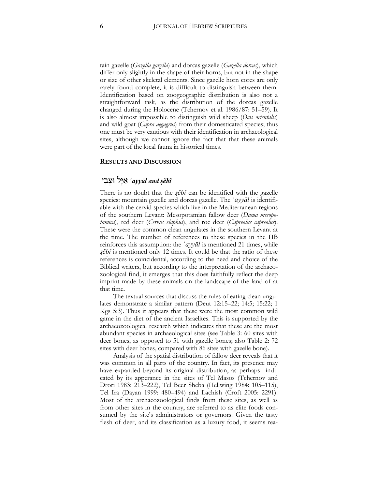tain gazelle (*Gazella gazella*) and dorcas gazelle (*Gazella dorcas*), which differ only slightly in the shape of their horns, but not in the shape or size of other skeletal elements. Since gazelle horn cores are only rarely found complete, it is difficult to distinguish between them. Identification based on zoogeographic distribution is also not a straightforward task, as the distribution of the dorcas gazelle changed during the Holocene (Tchernov et al. 1986/87: 51–59). It is also almost impossible to distinguish wild sheep (*Ovis orientalis*) and wild goat (*Capra aegagrus*) from their domesticated species; thus one must be very cautious with their identification in archaeological sites, although we cannot ignore the fact that that these animals were part of the local fauna in historical times.

#### **RESULTS AND DISCUSSION**

# *ṣěbî and ʾayyāl* אַ יָּל וּצְ בִ י

There is no doubt that the *ṣěbî* can be identified with the gazelle species: mountain gazelle and dorcas gazelle. The *ʾayyāl* is identifiable with the cervid species which live in the Mediterranean regions of the southern Levant: Mesopotamian fallow deer (*Dama mesopotamica*), red deer (*Cervus elaphus*), and roe deer (*Capreolus capreolus*). These were the common clean ungulates in the southern Levant at the time. The number of references to these species in the HB reinforces this assumption: the *ʾayyāl* is mentioned 21 times, while *ṣěbî* is mentioned only 12 times. It could be that the ratio of these references is coincidental, according to the need and choice of the Biblical writers, but according to the interpretation of the archaeozoological find, it emerges that this does faithfully reflect the deep imprint made by these animals on the landscape of the land of at that time.

The textual sources that discuss the rules of eating clean ungulates demonstrate a similar pattern (Deut 12:15–22; 14:5; 15:22; 1 Kgs 5:3). Thus it appears that these were the most common wild game in the diet of the ancient Israelites. This is supported by the archaeozoological research which indicates that these are the most abundant species in archaeological sites (see Table 3: 60 sites with deer bones, as opposed to 51 with gazelle bones; also Table 2: 72 sites with deer bones, compared with 86 sites with gazelle bone).

Analysis of the spatial distribution of fallow deer reveals that it was common in all parts of the country. In fact, its presence may have expanded beyond its original distribution, as perhaps indicated by its apperance in the sites of Tel Masos (Tchernov and Drori 1983: 213–222), Tel Beer Sheba (Hellwing 1984: 105–115), Tel Ira (Dayan 1999: 480–494) and Lachish (Croft 2005: 2291). Most of the archaeozoological finds from these sites, as well as from other sites in the country, are referred to as elite foods consumed by the site's administrators or governors. Given the tasty flesh of deer, and its classification as a luxury food, it seems rea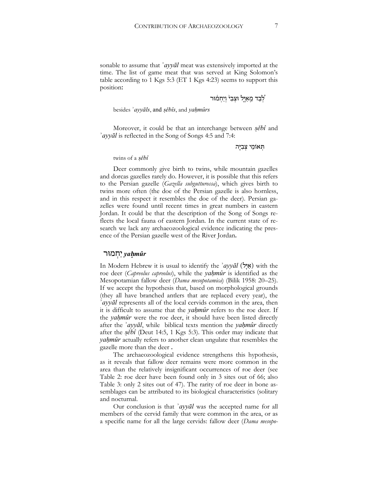sonable to assume that *ʾayyāl* meat was extensively imported at the time. The list of game meat that was served at King Solomon's table according to 1 Kgs 5:3 (ET 1 Kgs 4:23) seems to support this position:

לְבַד מֵאַיֵּל וּצְבִ<sup>ן</sup> וְיַחְמֹוּר  $\zeta$ 

besides *ʾayyāls*, and *ṣěbîs*, and *yaḥmûrs*

Moreover, it could be that an interchange between *ṣěbî* and *ʾayyāl* is reflected in the Song of Songs 4:5 and 7:4:

תְּ אוֹמֵ י צְ בִ יָּה

twins of a *ṣěbî*

Deer commonly give birth to twins, while mountain gazelles and dorcas gazelles rarely do. However, it is possible that this refers to the Persian gazelle (*Gazella subgutturossa*), which gives birth to twins more often (the doe of the Persian gazelle is also hornless, and in this respect it resembles the doe of the deer). Persian gazelles were found until recent times in great numbers in eastern Jordan. It could be that the description of the Song of Songs reflects the local fauna of eastern Jordan. In the current state of research we lack any archaeozoological evidence indicating the presence of the Persian gazelle west of the River Jordan.

#### *yaḥmûr* יַחְ מוּר

In Modern Hebrew it is usual to identify the *`ayyal* (א*ֵיל*) with the roe deer (*Capreolus capreolus*), while the *yaḥmûr* is identified as the Mesopotamian fallow deer (*Dama mesopotamica*) (Bilik 1958: 20–25). If we accept the hypothesis that, based on morphological grounds (they all have branched antlers that are replaced every year), the *ʾayyāl* represents all of the local cervids common in the area, then it is difficult to assume that the *yaḥmûr* refers to the roe deer. If the *yaḥmûr* were the roe deer, it should have been listed directly after the *ʾayyāl*, while biblical texts mention the *yaḥmûr* directly after the *ṣěbî* (Deut 14:5, 1 Kgs 5:3). This order may indicate that *yaḥmûr* actually refers to another clean ungulate that resembles the gazelle more than the deer .

The archaeozoological evidence strengthens this hypothesis, as it reveals that fallow deer remains were more common in the area than the relatively insignificant occurrences of roe deer (see Table 2: roe deer have been found only in 3 sites out of 66; also Table 3: only 2 sites out of 47). The rarity of roe deer in bone assemblages can be attributed to its biological characteristics (solitary and nocturnal.

Our conclusion is that *ʾayyāl* was the accepted name for all members of the cervid family that were common in the area, or as a specific name for all the large cervids: fallow deer (*Dama mesopo-*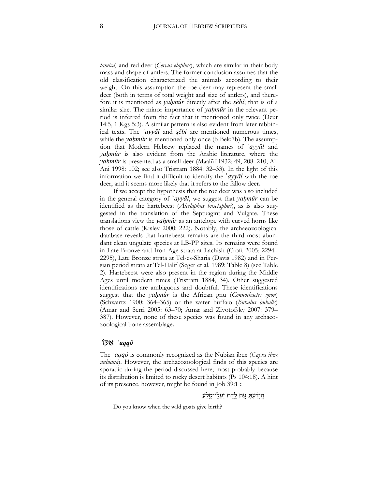*tamica*) and red deer (*Cervus elaphus*), which are similar in their body mass and shape of antlers. The former conclusion assumes that the old classification characterized the animals according to their weight. On this assumption the roe deer may represent the small deer (both in terms of total weight and size of antlers), and therefore it is mentioned as *yaḥmûr* directly after the *ṣěbî*; that is of a similar size. The minor importance of *yaḥmûr* in the relevant period is inferred from the fact that it mentioned only twice (Deut 14:5, 1 Kgs 5:3). A similar pattern is also evident from later rabbinical texts. The *ʾayyāl* and *ṣěbî* are mentioned numerous times, while the *yahmûr* is mentioned only once (b Bek:7b). The assumption that Modern Hebrew replaced the names of *ʾayyāl* and *yaḥmûr* is also evident from the Arabic literature, where the *yaḥmûr* is presented as a small deer (Maalūf 1932: 49, 208–210; Al-Ani 1998: 102; see also Tristram 1884: 32–33). In the light of this information we find it difficult to identify the *ʾayyāl* with the roe deer, and it seems more likely that it refers to the fallow deer.

If we accept the hypothesis that the roe deer was also included in the general category of *ʾayyāl*, we suggest that *yaḥmûr* can be identified as the hartebeest (*Alcelaphus buselaphus*), as is also suggested in the translation of the Septuagint and Vulgate. These translations view the *yaḥmûr* as an antelope with curved horns like those of cattle (Kislev 2000: 222). Notably, the archaeozoological database reveals that hartebeest remains are the third most abundant clean ungulate species at LB-PP sites. Its remains were found in Late Bronze and Iron Age strata at Lachish (Croft 2005: 2294– 2295), Late Bronze strata at Tel-es-Sharia (Davis 1982) and in Persian period strata at Tel-Halif (Seger et al. 1989: Table 8) (see Table 2). Hartebeest were also present in the region during the Middle Ages until modern times (Tristram 1884, 34). Other suggested identifications are ambiguous and doubtful. These identifications suggest that the *yaḥmûr* is the African gnu (*Connochaetes gnou*) (Schwartz 1900: 364–365) or the water buffalo (*Bubalus bubalis*) (Amar and Serri 2005: 63–70; Amar and Zivotofsky 2007: 379– 387). However, none of these species was found in any archaeozoological bone assemblage.

## *ʾaqqô* אַ קּוֹ

The *ʾaqqô* is commonly recognized as the Nubian ibex (*Capra ibex nubiana*). However, the archaeozoological finds of this species are sporadic during the period discussed here; most probably because its distribution is limited to rocky desert habitats (Ps 104:18). A hint of its presence, however, might be found in Job 39:1 :

הֲ יָדַ֗ עְ תָּ עֵ֭ ת לֶ ֣דֶ ת יַעֲ לֵ י־סָ ֑ לַ ע

Do you know when the wild goats give birth?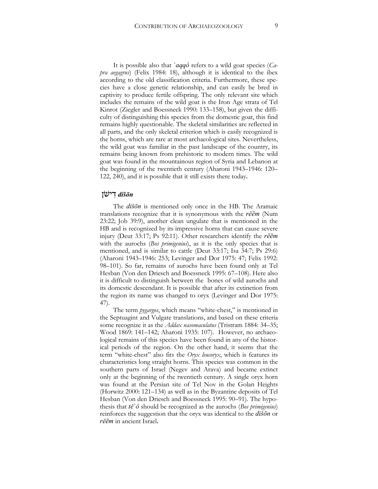It is possible also that *ʾaqqô* refers to a wild goat species (*Capra aegagrus*) (Felix 1984: 18), although it is identical to the ibex according to the old classification criteria. Furthermore, these species have a close genetic relationship, and can easily be bred in captivity to produce fertile offspring. The only relevant site which includes the remains of the wild goat is the Iron Age strata of Tel Kinrot (Ziegler and Boessneck 1990: 133–158), but given the difficulty of distinguishing this species from the domestic goat, this find remains highly questionable. The skeletal similarities are reflected in all parts, and the only skeletal criterion which is easily recognized is the horns, which are rare at most archaeological sites. Nevertheless, the wild goat was familiar in the past landscape of the country, its remains being known from prehistoric to modern times. The wild goat was found in the mountainous region of Syria and Lebanon at the beginning of the twentieth century (Aharoni 1943–1946: 120– 122, 240), and it is possible that it still exists there today.

## *dišōn* דִ ישֹׁן

The *dišōn* is mentioned only once in the HB. The Aramaic translations recognize that it is synonymous with the *rěēm* (Num 23:22; Job 39:9), another clean ungulate that is mentioned in the HB and is recognized by its impressive horns that can cause severe injury (Deut 33:17; Ps 92:11). Other researchers identify the *rěēm* with the aurochs (*Bos primigenius*), as it is the only species that is mentioned, and is similar to cattle (Deut 33:17; Isa 34:7; Ps 29:6) (Aharoni 1943–1946: 253; Levinger and Dor 1975: 47; Felix 1992: 98–101). So far, remains of aurochs have been found only at Tel Hesban (Von den Driesch and Boessneck 1995: 67–108). Here also it is difficult to distinguish between the bones of wild aurochs and its domestic descendant. It is possible that after its extinction from the region its name was changed to oryx (Levinger and Dor 1975: 47).

The term *pygargos*, which means "white-chest," is mentioned in the Septuagint and Vulgate translations, and based on these criteria some recognize it as the *Addax nasomaculatus* (Tristram 1884: 34–35; Wood 1869: 141–142; Aharoni 1935: 107). However, no archaeological remains of this species have been found in any of the historical periods of the region. On the other hand, it seems that the term "white-chest" also fits the *Oryx leucoryx*, which is features its characteristics long straight horns. This species was common in the southern parts of Israel (Negev and Arava) and became extinct only at the beginning of the twentieth century. A single oryx horn was found at the Persian site of Tel Nov in the Golan Heights (Horwitz 2000: 121–134) as well as in the Byzantine deposits of Tel Hesban (Von den Driesch and Boessneck 1995: 90–91). The hypothesis that *těʾô* should be recognized as the aurochs (*Bos primigenius*) reinforces the suggestion that the oryx was identical to the *dišōn* or *rěēm* in ancient Israel.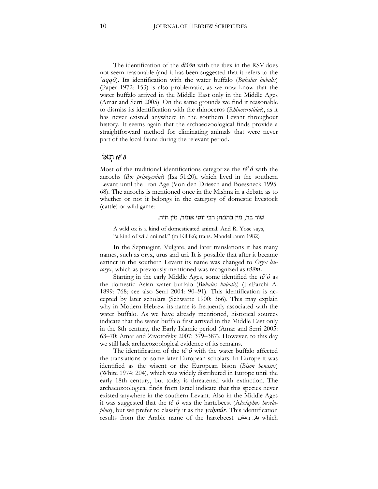The identification of the *dišōn* with the ibex in the RSV does not seem reasonable (and it has been suggested that it refers to the *ʾaqqô*). Its identification with the water buffalo (*Bubalus bubalis*) (Paper 1972: 153) is also problematic, as we now know that the water buffalo arrived in the Middle East only in the Middle Ages (Amar and Serri 2005). On the same grounds we find it reasonable to dismiss its identification with the rhinoceros (*Rhinocerotidae*), as it has never existed anywhere in the southern Levant throughout history. It seems again that the archaeozoological finds provide a straightforward method for eliminating animals that were never part of the local fauna during the relevant period.

#### *těʾô* תְ אוֹ

Most of the traditional identifications categorize the *těʾô* with the aurochs (*Bos primigenius*) (Isa 51:20), which lived in the southern Levant until the Iron Age (Von den Driesch and Boessneck 1995: 68). The aurochs is mentioned once in the Mishna in a debate as to whether or not it belongs in the category of domestic livestock (cattle) or wild game:

#### שור בר, מין בהמה; רבי יוסי אומר, מין חיה.

A wild ox is a kind of domesticated animal. And R. Yose says, "a kind of wild animal." (m Kil 8:6; trans. Mandelbaum 1982)

In the Septuagint, Vulgate, and later translations it has many names, such as oryx, urus and uri. It is possible that after it became extinct in the southern Levant its name was changed to *Oryx leucoryx*, which as previously mentioned was recognized as *rěēm*.

Starting in the early Middle Ages, some identified the *těʾô* as the domestic Asian water buffalo (*Bubalus bubali*s) (HaParchi A. 1899: 768; see also Serri 2004: 90–91). This identification is accepted by later scholars (Schwartz 1900: 366). This may explain why in Modern Hebrew its name is frequently associated with the water buffalo. As we have already mentioned, historical sources indicate that the water buffalo first arrived in the Middle East only in the 8th century, the Early Islamic period (Amar and Serri 2005: 63–70; Amar and Zivotofsky 2007: 379–387). However, to this day we still lack archaeozoological evidence of its remains.

The identification of the *těʾô* with the water buffalo affected the translations of some later European scholars. In Europe it was identified as the wisent or the European bison (*Bison bonasus*) (White 1974: 204), which was widely distributed in Europe until the early 18th century, but today is threatened with extinction. The archaeozoological finds from Israel indicate that this species never existed anywhere in the southern Levant. Also in the Middle Ages it was suggested that the *těʾô* was the hartebeest (A*lcelaphus buselaphus*), but we prefer to classify it as the *yaḥmûr*. This identification results from the Arabic name of the hartebeest وحش بقر which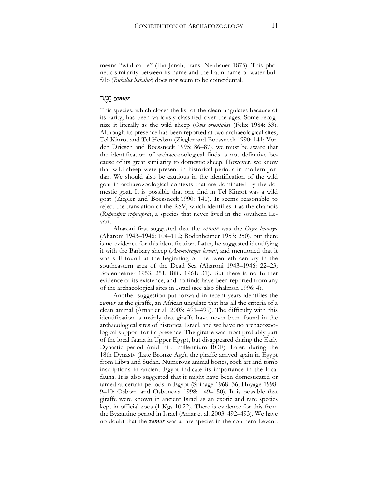means "wild cattle" (Ibn Janah; trans. Neubauer 1875). This phonetic similarity between its name and the Latin name of water buffalo (*Bubalus bubalus*) does not seem to be coincidental.

## *zemer* זֶ מֶ ר

This species, which closes the list of the clean ungulates because of its rarity, has been variously classified over the ages. Some recognize it literally as the wild sheep (*Ovis orientalis*) (Felix 1984: 33). Although its presence has been reported at two archaeological sites, Tel Kinrot and Tel Hesban (Ziegler and Boessneck 1990: 141; Von den Driesch and Boessneck 1995: 86–87), we must be aware that the identification of archaeozoological finds is not definitive because of its great similarity to domestic sheep. However, we know that wild sheep were present in historical periods in modern Jordan. We should also be cautious in the identification of the wild goat in archaeozoological contexts that are dominated by the domestic goat. It is possible that one find in Tel Kinrot was a wild goat (Ziegler and Boessneck 1990: 141). It seems reasonable to reject the translation of the RSV, which identifies it as the chamois (*Rupicapra rupicapra*), a species that never lived in the southern Levant.

Aharoni first suggested that the *zemer* was the *Oryx leucory*x (Aharoni 1943–1946: 104–112; Bodenheimer 1953: 250), but there is no evidence for this identification. Later, he suggested identifying it with the Barbary sheep (*Ammotragus lervia)*, and mentioned that it was still found at the beginning of the twentieth century in the southeastern area of the Dead Sea (Aharoni 1943–1946: 22–23; Bodenheimer 1953: 251; Bilik 1961: 31). But there is no further evidence of its existence, and no finds have been reported from any of the archaeological sites in Israel (see also Shalmon 1996: 4).

Another suggestion put forward in recent years identifies the *zemer* as the giraffe, an African ungulate that has all the criteria of a clean animal (Amar et al. 2003: 491–499). The difficulty with this identification is mainly that giraffe have never been found in the archaeological sites of historical Israel, and we have no archaeozoological support for its presence. The giraffe was most probably part of the local fauna in Upper Egypt, but disappeared during the Early Dynastic period (mid-third millennium BCE). Later, during the 18th Dynasty (Late Bronze Age), the giraffe arrived again in Egypt from Libya and Sudan. Numerous animal bones, rock art and tomb inscriptions in ancient Egypt indicate its importance in the local fauna. It is also suggested that it might have been domesticated or tamed at certain periods in Egypt (Spinage 1968: 36; Huyage 1998: 9–10; Osborn and Osbonova 1998: 149–150). It is possible that giraffe were known in ancient Israel as an exotic and rare species kept in official zoos (1 Kgs 10:22). There is evidence for this from the Byzantine period in Israel (Amar et al. 2003: 492–493). We have no doubt that the *zemer* was a rare species in the southern Levant.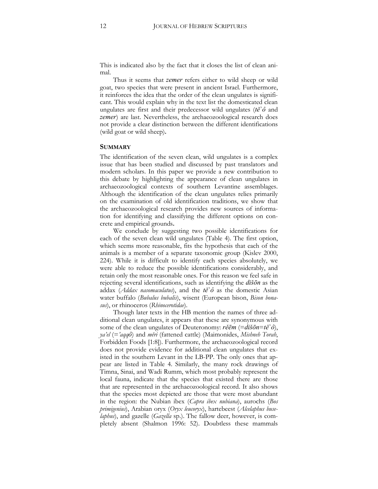This is indicated also by the fact that it closes the list of clean animal.

Thus it seems that *zemer* refers either to wild sheep or wild goat, two species that were present in ancient Israel. Furthermore, it reinforces the idea that the order of the clean ungulates is significant. This would explain why in the text list the domesticated clean ungulates are first and their predecessor wild ungulates (*těʾô* and *zemer*) are last. Nevertheless, the archaeozoological research does not provide a clear distinction between the different identifications (wild goat or wild sheep).

#### **SUMMARY**

The identification of the seven clean, wild ungulates is a complex issue that has been studied and discussed by past translators and modern scholars. In this paper we provide a new contribution to this debate by highlighting the appearance of clean ungulates in archaeozoological contexts of southern Levantine assemblages. Although the identification of the clean ungulates relies primarily on the examination of old identification traditions, we show that the archaeozoological research provides new sources of information for identifying and classifying the different options on concrete and empirical grounds.

We conclude by suggesting two possible identifications for each of the seven clean wild ungulates (Table 4). The first option, which seems more reasonable, fits the hypothesis that each of the animals is a member of a separate taxonomic group (Kislev 2000, 224). While it is difficult to identify each species absolutely, we were able to reduce the possible identifications considerably, and retain only the most reasonable ones. For this reason we feel safe in rejecting several identifications, such as identifying the *dišōn* as the addax (*Addax nasomaculatus*), and the *těʾô* as the domestic Asian water buffalo (*Bubalus bubalis*), wisent (European bison, *Bison bonasus*), or rhinoceros (*Rhinocerotidae*).

Though later texts in the HB mention the names of three additional clean ungulates, it appears that these are synonymous with some of the clean ungulates of Deuteronomy: *rěēm* (=*dišōn*=*těʾô*), *ya'el* (=*'aqqô*) and *měri* (fattened cattle) (Maimonides, *Mishneh Torah*, Forbidden Foods [1:8]). Furthermore, the archaeozoological record does not provide evidence for additional clean ungulates that existed in the southern Levant in the LB-PP. The only ones that appear are listed in Table 4. Similarly, the many rock drawings of Timna, Sinai, and Wadi Rumm, which most probably represent the local fauna, indicate that the species that existed there are those that are represented in the archaeozoological record. It also shows that the species most depicted are those that were most abundant in the region: the Nubian ibex (*Capra ibex nubiana*), aurochs (*Bos primigenius*), Arabian oryx (*Oryx leucoryx*), hartebeest (*Alcelaphus buselaphus*), and gazelle (*Gazella* sp.). The fallow deer, however, is completely absent (Shalmon 1996: 52). Doubtless these mammals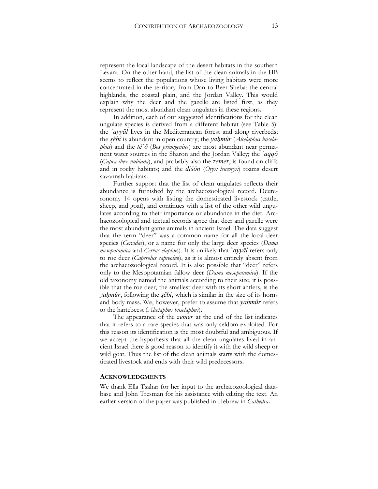represent the local landscape of the desert habitats in the southern Levant. On the other hand, the list of the clean animals in the HB seems to reflect the populations whose living habitats were more concentrated in the territory from Dan to Beer Sheba: the central highlands, the coastal plain, and the Jordan Valley. This would explain why the deer and the gazelle are listed first, as they represent the most abundant clean ungulates in these regions.

In addition, each of our suggested identifications for the clean ungulate species is derived from a different habitat (see Table 5): the *ʾayyāl* lives in the Mediterranean forest and along riverbeds; the *ṣěbî* is abundant in open country; the *yaḥmûr* (*Alcelaphus buselaphus*) and the *těʾô* (*Bos primigeniu*s) are most abundant near permanent water sources in the Sharon and the Jordan Valley; the *ʾaqqô* (*Capra ibex nubiana*), and probably also the *zemer*, is found on cliffs and in rocky habitats; and the *dišōn* (*Oryx leucoryx*) roams desert savannah habitats.

Further support that the list of clean ungulates reflects their abundance is furnished by the archaeozoological record. Deuteronomy 14 opens with listing the domesticated livestock (cattle, sheep, and goat), and continues with a list of the other wild ungulates according to their importance or abundance in the diet. Archaeozoological and textual records agree that deer and gazelle were the most abundant game animals in ancient Israel. The data suggest that the term "deer" was a common name for all the local deer species (*Cervidae*), or a name for only the large deer species (*Dama mesopotamica* and *Cervus elaphu*s). It is unlikely that *ʾayyāl* refers only to roe deer (*Caperolus capreolu*s), as it is almost entirely absent from the archaeozoological record. It is also possible that "deer" refers only to the Mesopotamian fallow deer (*Dama mesopotamica*). If the old taxonomy named the animals according to their size, it is possible that the roe deer, the smallest deer with its short antlers, is the *yaḥmûr*, following the *ṣěbî*, which is similar in the size of its horns and body mass. We, however, prefer to assume that *yaḥmûr* refers to the hartebeest (*Alcelaphus buselaphus*).

The appearance of the *zemer* at the end of the list indicates that it refers to a rare species that was only seldom exploited. For this reason its identification is the most doubtful and ambiguous. If we accept the hypothesis that all the clean ungulates lived in ancient Israel there is good reason to identify it with the wild sheep or wild goat. Thus the list of the clean animals starts with the domesticated livestock and ends with their wild predecessors.

#### **ACKNOWLEDGMENTS**

We thank Ella Tsahar for her input to the archaeozoological database and John Tresman for his assistance with editing the text. An earlier version of the paper was published in Hebrew in *Cathedra*.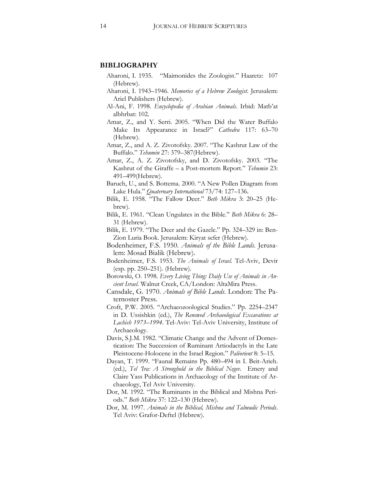#### **BIBLIOGRAPHY**

- Aharoni, I. 1935. "Maimonides the Zoologist." Haaretz: 107 (Hebrew).
- Aharoni, I. 1943–1946. *Memories of a Hebrew Zoologist*. Jerusalem: Ariel Publishers (Hebrew).
- Al-Ani, F. 1998. *Encyclopedia of Arabian Animals*. Irbid: Matb'at albhrbat: 102.
- Amar, Z., and Y. Serri. 2005. "When Did the Water Buffalo Make Its Appearance in Israel?" *Cathedra* 117: 63–70 (Hebrew).
- Amar, Z., and A. Z. Zivotofsky. 2007. "The Kashrut Law of the Buffalo." *Tehumin* 27: 379–387(Hebrew).
- Amar, Z., A. Z. Zivotofsky, and D. Zivotofsky. 2003. "The Kashrut of the Giraffe – a Post-mortem Report." *Tehumin* 23: 491–499(Hebrew).
- Baruch, U., and S. Bottema. 2000. "A New Pollen Diagram from Lake Hula." *Quaternary International* 73/74: 127–136.
- Bilik, E. 1958. "The Fallow Deer." *Beth Mikra* 3: 20–25 (Hebrew).
- Bilik, E. 1961. "Clean Ungulates in the Bible." *Beth Mikra* 6: 28– 31 (Hebrew).
- Bilik, E. 1979. "The Deer and the Gazele." Pp. 324–329 in: Ben-Zion Luria Book. Jerusalem: Kiryat sefer (Hebrew).
- Bodenheimer, F.S. 1950. *Animals of the Bible Lands*. Jerusalem: Mosad Bialik (Hebrew).
- Bodenheimer, F.S. 1953. *The Animals of Israel.* Tel-Aviv, Devir (esp. pp. 250–251). (Hebrew).
- Borowski, O. 1998. *Every Living Thing: Daily Use of Animals in Ancient Israel*. Walnut Creek, CA/London: AltaMira Press.
- Cansdale, G. 1970. *Animals of Bible Lands*. London: The Paternoster Press.
- Croft, P.W. 2005. "Archaeozoological Studies." Pp. 2254–2347 in D. Ussishkin (ed.), *The Renewed Archaeological Excavations at Lachish 1973–1994*. Tel-Aviv: Tel-Aviv University, Institute of Archaeology.
- Davis, S.J.M. 1982. "Climatic Change and the Advent of Domestication: The Succession of Ruminant Artiodactyls in the Late Pleistocene-Holocene in the Israel Region." *Paléorient* 8: 5–15.
- Dayan, T. 1999. "Faunal Remains Pp. 480–494 in I. Beit-Arieh. (ed.), *Tel 'Ira: A Stronghold in the Biblical Negev*. Emery and Claire Yass Publications in Archaeology of the Institute of Archaeology, Tel Aviv University.
- Dor, M. 1992. "The Ruminants in the Biblical and Mishna Periods." *Beth Mikra* 37: 122–130 (Hebrew).
- Dor, M. 1997. *Animals in the Biblical, Mishna and Talmudic Periods*. Tel Aviv: Grafor-Deftel (Hebrew).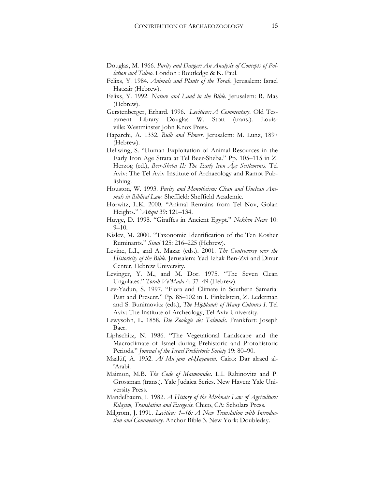- Douglas, M. 1966. *Purity and Danger: An Analysis of Concepts of Pollution and Taboo*. London : Routledge & K. Paul.
- Felixs, Y. 1984. *Animals and Plants of the Torah*. Jerusalem: Israel Hatzair (Hebrew).
- Felixs, Y. 1992. *Nature and Land in the Bible*. Jerusalem: R. Mas (Hebrew).
- Gerstenberger, Erhard. 1996. *Leviticus: A Commentary*. Old Testament Library Douglas W. Stott (trans.). Louisville: Westminster John Knox Press.
- Haparchi, A. 1332. *Bulb and Flower*. Jerusalem: M. Lunz, 1897 (Hebrew).
- Hellwing, S. "Human Exploitation of Animal Resources in the Early Iron Age Strata at Tel Beer-Sheba." Pp. 105–115 in Z. Herzog (ed.), *Beer-Sheba II: The Early Iron Age Settlements*. Tel Aviv: The Tel Aviv Institute of Archaeology and Ramot Publishing.
- Houston, W. 1993. *Purity and Monotheism: Clean and Unclean Animals in Biblical Law*. Sheffield: Sheffield Academic.
- Horwitz, L.K. 2000. "Animal Remains from Tel Nov, Golan Heights." ʿ*Atiqot* 39: 121–134.
- Huyge, D. 1998. "Giraffes in Ancient Egypt." *Nekhen News* 10: 9–10.
- Kislev, M. 2000. "Taxonomic Identification of the Ten Kosher Ruminants." *Sinai* 125: 216–225 (Hebrew).
- Levine, L.I., and A. Mazar (eds.). 2001. *The Controversy over the Historicity of the Bible*. Jerusalem: Yad Izhak Ben-Zvi and Dinur Center, Hebrew University.
- Levinger, Y. M., and M. Dor. 1975. "The Seven Clean Ungulates." *Torah Ve'Mada* 4: 37–49 (Hebrew).
- Lev-Yadun, S. 1997. "Flora and Climate in Southern Samaria: Past and Present." Pp. 85–102 in I. Finkelstein, Z. Lederman and S. Bunimovitz (eds.), *The Highlands of Many Cultures I*. Tel Aviv: The Institute of Archeology, Tel Aviv University.
- Lewysohn, L. 1858. *Die Zoologie des Talmuds*. Frankfort: Joseph Baer.
- Liphschitz, N. 1986. "The Vegetational Landscape and the Macroclimate of Israel during Prehistoric and Protohistoric Periods." *Journal of the Israel Prehistoric Society* 19: 80–90.
- Maalūf, A. 1932. *Al Muʿjam al-Ḥayawān*. Cairo: Dar alraed al- 'Arabi.
- Maimon, M.B. *The Code of Maimonides*. L.I. Rabinovitz and P. Grossman (trans.). Yale Judaica Series. New Haven: Yale University Press.
- Mandelbaum, I. 1982. *A History of the Mishnaic Law of Agriculture: Kilayim, Translation and Exegesis*. Chico, CA: Scholars Press.
- Milgrom, J. 1991. *Leviticus 1–16: A New Translation with Introduction and Commentary*. Anchor Bible 3. New York: Doubleday.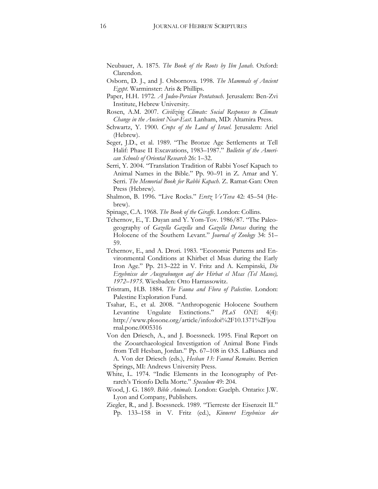- Neubauer, A. 1875. *The Book of the Roots by Ibn Janah*. Oxford: Clarendon.
- Osborn, D. J., and J. Osbornova. 1998. *The Mammals of Ancient Egypt*. Warminster: Aris & Phillips.
- Paper, H.H. 1972. *A Judeo-Persian Pentateuch*. Jerusalem: Ben-Zvi Institute, Hebrew University.
- Rosen, A.M. 2007. *Civilizing Climate: Social Responses to Climate Change in the Ancient Near-East*. Lanham, MD: Altamira Press.
- Schwartz, Y. 1900. *Crops of the Land of Israel*. Jerusalem: Ariel (Hebrew).
- Seger, J.D., et al. 1989. "The Bronze Age Settlements at Tell Halif: Phase II Excavations, 1983–1987." *Bulletin of the American Schools of Oriental Research* 26: 1–32.
- Serri, Y. 2004. "Translation Tradition of Rabbi Yosef Kapach to Animal Names in the Bible." Pp. 90–91 in Z. Amar and Y. Serri. *The Memorial Book for Rabbi Kapach*. Z. Ramat-Gan: Oren Press (Hebrew).
- Shalmon, B. 1996. "Live Rocks." *Eretz Ve'Teva* 42: 45–54 (Hebrew).
- Spinage, C.A. 1968. *The Book of the Giraffe*. London: Collins.
- Tchernov, E., T. Dayan and Y. Yom-Tov. 1986/87. "The Paleogeography of *Gazella Gazella* and *Gazella Dorcas* during the Holocene of the Southern Levant." *Journal of Zoology* 34: 51– 59.
- Tchernov, E., and A. Drori. 1983. "Economic Patterns and Environmental Conditions at Khirbet el Msas during the Early Iron Age." Pp. 213–222 in V. Fritz and A. Kempinski, *Die Ergebnisse der Ausgrabungen auf der Hirbat el Msas (Tel Masos), 1972–1975*. Wiesbaden: Otto Harrassowitz.
- Tristram, H.B. 1884. *The Fauna and Flora of Palestine*. London: Palestine Exploration Fund.
- Tsahar, E., et al. 2008. "Anthropogenic Holocene Southern Levantine Ungulate Extinctions." *PLoS ONE* 4(4): http://www.plosone.org/article/info:doi%2F10.1371%2Fjou rnal.pone.0005316
- Von den Driesch, A., and J. Boessneck. 1995. Final Report on the Zooarchaeological Investigation of Animal Bone Finds from Tell Hesban, Jordan." Pp. 67–108 in Ø.S. LaBianca and A. Von der Driesch (eds.), *Hesban 13: Faunal Remains*. Berrien Springs, MI: Andrews University Press.
- White, L. 1974. "Indic Elements in the Iconography of Petrarch's Trionfo Della Morte." *Speculum* 49: 204.
- Wood, J. G. 1869. *Bible Animals*. London: Guelph. Ontario: J.W. Lyon and Company, Publishers.
- Ziegler, R., and J. Boessneck. 1989. "Tierreste der Eisenzeit II." Pp. 133–158 in V. Fritz (ed.), *Kinneret Ergebnisse der*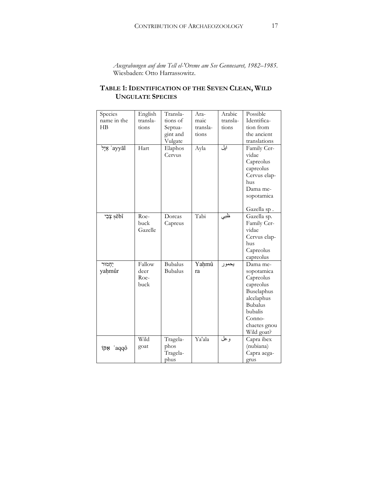*Ausgrabungen auf dem Tell el-'Oreme am See Gennesaret, 1982–1985*. Wiesbaden: Otto Harrassowitz.

# **TABLE 1: IDENTIFICATION OF THE SEVEN CLEAN, WILD UNGULATE SPECIES**

| Species                 | English  | Transla-       | Ara-     | Arabic   | Possible       |
|-------------------------|----------|----------------|----------|----------|----------------|
| name in the             | transla- | tions of       | maic     | transla- | Identifica-    |
| H B                     | tions    | Septua-        | transla- | tions    | tion from      |
|                         |          | gint and       | tions    |          | the ancient    |
|                         |          | Vulgate        |          |          | translations   |
| 'פֵל <sup>'</sup> ayyāl | Hart     | Elaphos        | Ayla     | ایل      | Family Cer-    |
|                         |          | Cervus         |          |          | vidae          |
|                         |          |                |          |          | Capreolus      |
|                         |          |                |          |          | capreolus      |
|                         |          |                |          |          | Cervus elap-   |
|                         |          |                |          |          | hus            |
|                         |          |                |          |          | Dama me-       |
|                         |          |                |          |          | sopotamica     |
|                         |          |                |          |          |                |
|                         |          |                |          |          | Gazella sp.    |
| sěbî                    | Roe-     | Dorcas         | Tabi     | تطبي     | Gazella sp.    |
|                         | buck     | Capreus        |          |          | Family Cer-    |
|                         | Gazelle  |                |          |          | vidae          |
|                         |          |                |          |          | Cervus elap-   |
|                         |          |                |          |          | hus            |
|                         |          |                |          |          | Capreolus      |
|                         |          |                |          |          | capreolus      |
| יַחֲמוּר                | Fallow   | <b>Bubalus</b> | Yahmû    | يحمور    | Dama me-       |
| yahmûr                  | deer     | <b>Bubalus</b> | ra       |          | sopotamica     |
|                         | Roe-     |                |          |          | Capreolus      |
|                         | buck     |                |          |          | capreolus      |
|                         |          |                |          |          | Buselaphus     |
|                         |          |                |          |          | alcelaphus     |
|                         |          |                |          |          | <b>Bubalus</b> |
|                         |          |                |          |          | bubalis        |
|                         |          |                |          |          | Conno-         |
|                         |          |                |          |          | chaetes gnou   |
|                         |          |                |          |          | Wild goat?     |
|                         | Wild     | Tragela-       | Ya'ala   | وعل      | Capra ibex     |
| aqqô` אַקּוֹ            | goat     | phos           |          |          | (nubiana)      |
|                         |          | Tragela-       |          |          | Capra aega-    |
|                         |          | phus           |          |          | grus           |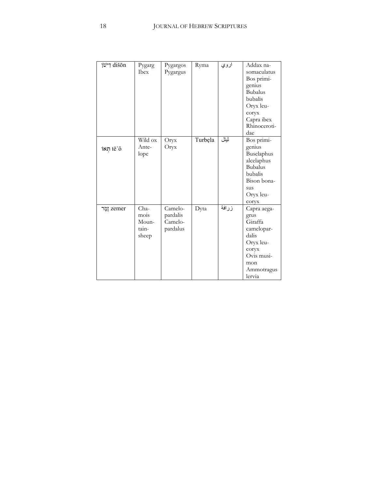| ri לישו      | Pygarg<br><b>Ibex</b>                   | Pygargos<br>Pygargus                       | Ryma    | اروي  | Addax na-<br>somaculatus<br>Bos primi-<br>genius<br><b>Bubalus</b><br>bubalis<br>Oryx leu-<br>coryx<br>Capra ibex<br>Rhinoceroti-<br>dae |
|--------------|-----------------------------------------|--------------------------------------------|---------|-------|------------------------------------------------------------------------------------------------------------------------------------------|
| $i$ וֹתְאוֹ  | Wild ox<br>Ante-<br>lope                | Oryx<br>Oryx                               | Turbęla | ثيتل  | Bos primi-<br>genius<br>Buselaphus<br>alcelaphus<br><b>Bubalus</b><br>bubalis<br>Bison bona-<br>sus<br>Oryx leu-<br>coryx                |
| ַנְמֶר zemer | Cha-<br>mois<br>Moun-<br>tain-<br>sheep | Camelo-<br>pardalis<br>Camelo-<br>pardalus | Dyta    | زرافة | Capra aega-<br>grus<br>Giraffa<br>camelopar-<br>dalis<br>Oryx leu-<br>coryx<br>Ovis musi-<br>mon<br>Ammotragus<br>lervia                 |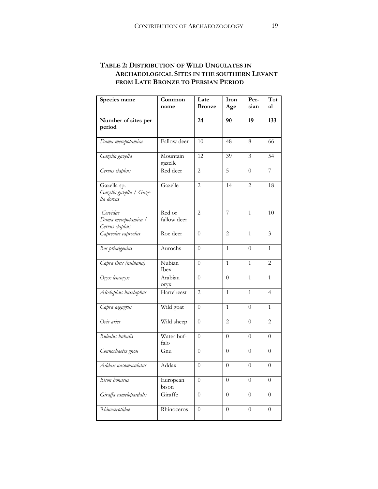# **TABLE 2: DISTRIBUTION OF WILD UNGULATES IN ARCHAEOLOGICAL SITES IN THE SOUTHERN LEVANT FROM LATE BRONZE TO PERSIAN PERIOD**

| Species name                                         | Common<br>name        | Late<br><b>Bronze</b> | Iron<br>Age      | Per-<br>sian     | Tot<br>al      |
|------------------------------------------------------|-----------------------|-----------------------|------------------|------------------|----------------|
| Number of sites per                                  |                       | 24                    | 90               | 19               | 133            |
| period                                               |                       |                       |                  |                  |                |
| Dama mesopotamica                                    | Fallow deer           | 10                    | 48               | 8                | 66             |
| Gazella gazella                                      | Mountain<br>gazelle   | 12                    | 39               | 3                | 54             |
| Cervus elaphus                                       | Red deer              | 2                     | 5                | $\theta$         | 7              |
| Gazella sp.<br>Gazella gazella / Gaze-<br>lla dorcas | Gazelle               | $\overline{c}$        | 14               | 2                | 18             |
| Cervidae<br>Dama mesopotamica /<br>Cervus elaphus    | Red or<br>fallow deer | $\overline{2}$        | 7                | 1                | 10             |
| Capreolus capreolus                                  | Roe deer              | 0                     | 2                | 1                | 3              |
| Bos primigenius                                      | Aurochs               | $\theta$              | $\mathbf{1}$     | $\Omega$         | $\mathbf{1}$   |
| Capra ibex (nubiana)                                 | Nubian<br><b>Ibex</b> | $\theta$              | 1                | 1                | 2              |
| $O$ ryx leucoryx                                     | Arabian<br>oryx       | $\theta$              | 0                | 1                | 1              |
| Alcelaphus buselaphus                                | Hartebeest            | $\overline{2}$        | $\mathbf{1}$     | 1                | $\overline{4}$ |
| Capra aegagrus                                       | Wild goat             | $\theta$              | 1                | $\theta$         | $\mathbf{1}$   |
| Ovis aries                                           | Wild sheep            | $\theta$              | $\mathbf{2}$     | $\theta$         | $\overline{2}$ |
| <b>Bubalus</b> bubalis                               | Water buf-<br>falo    | $\theta$              | $\Omega$         | $\theta$         | $\theta$       |
| Connochaetes gnou                                    | Gnu                   | $\theta$              | $\theta$         | $\Omega$         | $\theta$       |
| Addax nasomaculatus                                  | Addax                 | $\theta$              | $\theta$         | $\theta$         | $\overline{0}$ |
| <b>Bison</b> bonasus                                 | European<br>bison     | $\overline{0}$        | $\overline{0}$   | $\overline{0}$   | $\theta$       |
| Giraffa camelopardalis                               | Giraffe               | $\boldsymbol{0}$      | $\overline{0}$   | $\boldsymbol{0}$ | $\overline{0}$ |
| Rhinocerotidae                                       | Rhinoceros            | $\overline{0}$        | $\boldsymbol{0}$ | $\boldsymbol{0}$ | $\theta$       |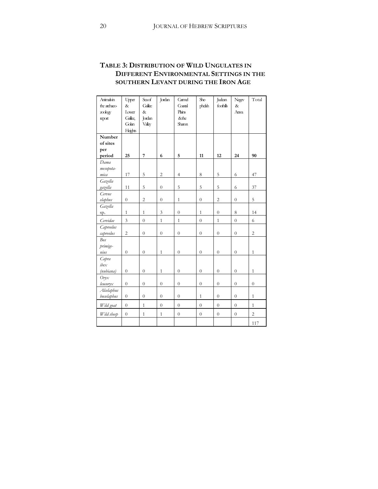# **TABLE 3: DISTRIBUTION OF WILD UNGULATES IN DIFFERENT ENVIRONMENTAL SETTINGS IN THE SOUTHERN LEVANT DURING THE IRON AGE**

| Animakin<br>the archaeo-<br>zoology<br>report | Upper<br>$\&$<br>Lower<br>Galilee,<br>Golan<br>Heights | Seaof<br>Gallee<br>$\&$<br>Jordan<br>Valley | Jordan         | Camel<br>Coastal<br>Plans<br>&the<br>Sharon | She-<br>phelah | Judean<br>foothills | Negev<br>$\&$<br>Arava | Total          |
|-----------------------------------------------|--------------------------------------------------------|---------------------------------------------|----------------|---------------------------------------------|----------------|---------------------|------------------------|----------------|
| Number<br>of sites                            |                                                        |                                             |                |                                             |                |                     |                        |                |
| per                                           |                                                        |                                             |                |                                             |                |                     |                        |                |
| period                                        | 25                                                     | 7                                           | 6              | 5                                           | 11             | 12                  | 24                     | 90             |
| Dama                                          |                                                        |                                             |                |                                             |                |                     |                        |                |
| mesopota-                                     |                                                        |                                             |                |                                             |                |                     |                        |                |
| mica                                          | 17                                                     | 5                                           | $\overline{c}$ | $\overline{4}$                              | 8              | 5                   | 6                      | 47             |
| Gazella                                       |                                                        |                                             |                |                                             |                |                     |                        |                |
| gazella                                       | 11                                                     | 5                                           | $\overline{0}$ | 5                                           | 5              | 5                   | 6                      | 37             |
| Cervus                                        |                                                        | $\overline{2}$                              |                | $\mathbf{1}$                                | $\overline{0}$ | $\overline{2}$      |                        | 5              |
| elaphus                                       | $\overline{0}$                                         |                                             | $\overline{0}$ |                                             |                |                     | $\boldsymbol{0}$       |                |
| Gazella                                       | $\overline{1}$                                         | $\mathbf{1}$                                | $\mathfrak{Z}$ | $\overline{0}$                              | $\mathbf{1}$   | $\overline{0}$      | 8                      | 14             |
| sp.                                           |                                                        |                                             |                |                                             |                |                     |                        |                |
| Cervidae                                      | 3                                                      | $\overline{0}$                              | $\mathbf{1}$   | $\mathbf{1}$                                | $\overline{0}$ | $\mathbf{1}$        | $\overline{0}$         | 6              |
| Capreolus                                     | $\overline{c}$                                         | $\theta$                                    | $\theta$       | $\overline{0}$                              | $\overline{0}$ | $\overline{0}$      | $\theta$               | $\overline{c}$ |
| capreolus<br><b>Bos</b>                       |                                                        |                                             |                |                                             |                |                     |                        |                |
| primige-                                      |                                                        |                                             |                |                                             |                |                     |                        |                |
| nius                                          | $\overline{0}$                                         | $\overline{0}$                              | $\mathbf{1}$   | $\overline{0}$                              | $\overline{0}$ | $\overline{0}$      | $\boldsymbol{0}$       | $\mathbf{1}$   |
| Capra                                         |                                                        |                                             |                |                                             |                |                     |                        |                |
| ibex                                          |                                                        |                                             |                |                                             |                |                     |                        |                |
| (nubiana)                                     | $\overline{0}$                                         | $\overline{0}$                              | $\mathbf{1}$   | $\overline{0}$                              | $\overline{0}$ | $\overline{0}$      | $\overline{0}$         | $\mathbf{1}$   |
| $O$ ryx                                       |                                                        |                                             |                |                                             |                |                     |                        |                |
| leucoryx                                      | $\overline{0}$                                         | $\overline{0}$                              | $\overline{0}$ | $\overline{0}$                              | $\overline{0}$ | $\overline{0}$      | $\overline{0}$         | $\overline{0}$ |
| Alcelaphus                                    |                                                        |                                             |                |                                             |                |                     |                        |                |
| buselaphus                                    | $\overline{0}$                                         | $\overline{0}$                              | $\overline{0}$ | $\overline{0}$                              | $\mathbf{1}$   | $\overline{0}$      | $\theta$               | $\mathbf{1}$   |
| Wild goat                                     | $\overline{0}$                                         | $\mathbf{1}$                                | $\theta$       | $\overline{0}$                              | $\theta$       | $\overline{0}$      | $\overline{0}$         | $\mathbf{1}$   |
| Wild sheep                                    | $\overline{0}$                                         | $\mathbf{1}$                                | $\mathbf{1}$   | $\overline{0}$                              | $\overline{0}$ | $\overline{0}$      | $\boldsymbol{0}$       | $\overline{c}$ |
|                                               |                                                        |                                             |                |                                             |                |                     |                        | 117            |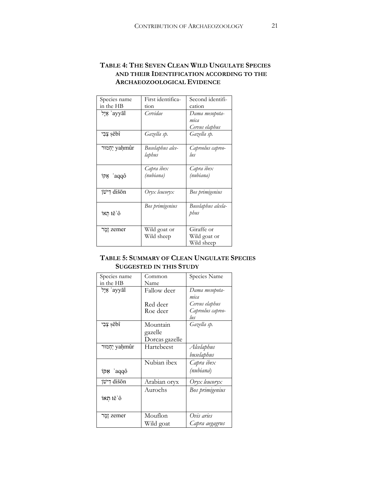# **TABLE 4: THE SEVEN CLEAN WILD UNGULATE SPECIES AND THEIR IDENTIFICATION ACCORDING TO THE ARCHAEOZOOLOGICAL EVIDENCE**

| Species name     | First identifica-          | Second identifi-                         |
|------------------|----------------------------|------------------------------------------|
| in the HB        | tion                       | cation                                   |
| ayyāl' אֵיָל     | Cervidae                   | Dama mesopota-<br>mica<br>Cervus elaphus |
| יִבִי sěbî       | Gazella sp.                | Gazella sp.                              |
| ַיִחְמוּר yaḥmûr | Buselaphus alce-<br>laphus | Capreolus capreo-<br>lus                 |
| aqqô` אַקּוֹ     | Capra ibex<br>(nubiana)    | Capra ibex<br>(nubiana)                  |
| ri לישו          | Oryx leucoryx              | Bos primigenius                          |
| ixת tě'ô         | Bos primigenius            | Buselaphus alcela-<br>phus               |
| zemer וֵמֵר      | Wild goat or<br>Wild sheep | Giraffe or<br>Wild goat or<br>Wild sheep |

## **TABLE 5: SUMMARY OF CLEAN UNGULATE SPECIES SUGGESTED IN THIS STUDY**

| Species name     | Common         | Species Name      |
|------------------|----------------|-------------------|
| in the HB        | Name           |                   |
| `פֵיל ayyāl      | Fallow deer    | Dama mesopota-    |
|                  |                | mica              |
|                  | Red deer       | Cervus elaphus    |
|                  | Roe deer       | Capreolus capreo- |
|                  |                | lus               |
| יִבִי sěbî       | Mountain       | Gazella sp.       |
|                  | gazelle        |                   |
|                  | Dorcas gazelle |                   |
| ַיִחְמוּר yaḥmûr | Hartebeest     | Alcelaphus        |
|                  |                | buselaphus        |
|                  | Nubian ibex    | Capra ibex        |
| aqqô אַקוֹ       |                | (nubiana)         |
| ri לישן          | Arabian oryx   | Oryx leucoryx     |
|                  | Aurochs        | Bos primigenius   |
| inח tě'ô         |                |                   |
|                  |                |                   |
| zemer וֵמֵר      | Mouflon        | Ovis aries        |
|                  | Wild goat      | Capra aegagrus    |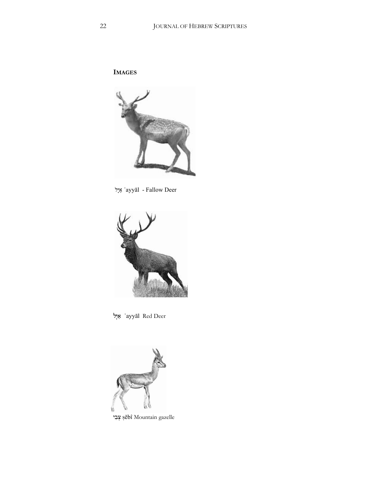**IMAGES** 



'פֵיָל ayyāl - Fallow Deer



ayyāl Red Deer אֵיל



צְבִי sěbî Mountain gazelle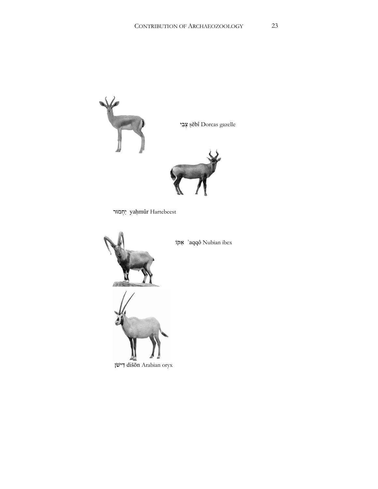

יַחְמוּר yaḥmûr Hartebeest



יאק<br/>i $\,$ 'aqqô Nubian ibex



דישן dišōn Arabian oryx